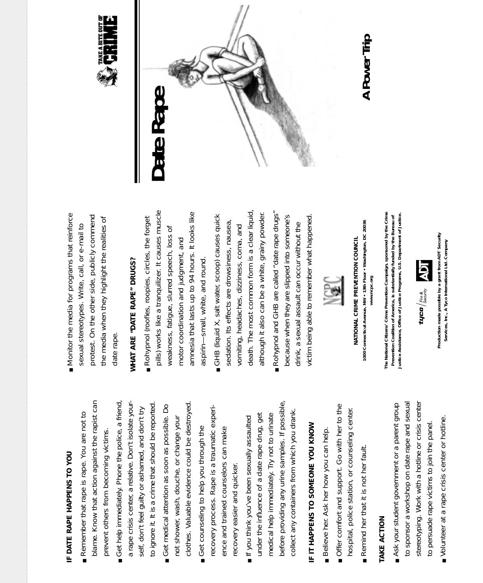## IF DATE RAPE HAPPENS TO YOU *IF DATE RAPE HAPPENS TO YOU*

- blame. Know that action against the rapist can blame. Know that action against the rapist can Remember that rape is rape. You are not to ■ Remember that rape is rape. You are not to prevent others from becoming victims. prevent others from becoming victims.
- Get help immediately. Phone the police, a friend, ■ Get help immediately. Phone the police, a friend, a rape crisis center, a relative. Don't isolate youra rape crisis center, a relative. Don't isolate yourto ignore it. It is a crime that should be reported to ignore it. It is a crime that should be reported. self, don't feel guilty or ashamed, and don't try self, don't feel guilty or ashamed, and don't try
	- clothes. Valuable evidence could be destroyed clothes. Valuable evidence could be destroyed. Get medical attention as soon as possible. Do ■ Get medical attention as soon as possible. Do not shower, wash, douche, or change your not shower, wash, douche, or change your
- recovery process. Rape is a traumatic experirecovery process. Rape is a traumatic experi-Get counseling to help you through the ence and trained counselors can make ■ Get counseling to help you through the ence and trained counselors can make recovery easier and quicker. recovery easier and quicker.
- before providing any urine samples. If possible, before providing any urine samples. If possible, collect any containers from which you drank. collect any containers from which you drank. under the influence of a date rape drug, get medical help immediately. Try not to urinate under the influence of a date rape drug, get If you think you've been sexually assaulted medical help immediately. Try not to urinate ■ If you think you've been sexually assaulted

# IF IT HAPPENS TO SOMEONE YOU KNOW *IF IT HAPPENS TO SOMEONE YOU KNOW*

- Believe her. Ask her how you can help. ■ Believe her. Ask her how you can help.
- Offer comfort and support. Go with her to the ■ Offer comfort and support. Go with her to the hospital, police station, or counseling center. hospital, police station, or counseling center.
	- Remind her that it is not her fault. ■ Remind her that it is not her fault.

#### **TAKE ACTION** *TAKE ACTION*

- to sponsor a workshop on date rape and sexual stereotyping. Work with a hotline or crisis center to sponsor a workshop on date rape and sexual stereotyping. Work with a hotline or crisis center ■ Ask your student government or a parent group ■ Ask your student government or a parent group to persuade rape victims to join the panel. to persuade rape victims to join the panel.
- Volunteer at a rape crisis center or hotline. ■ Volunteer at a rape crisis center or hotline.

Monitor the media for programs that reinforce protest. On the other side, publicly commend ■ Monitor the media for programs that reinforce protest. On the other side, publicly commend the media when they highlight the realities of the media when they highlight the realities of sexual stereotypes. Write, call, or e-mail to sexual stereotypes. Write, call, or e-mail to date rape.

## WHAT ARE "DATE RAPE" DRUGS? *WHAT ARE "DATE RAPE" DRUGS?*

- pills) works like a tranquilizer. It causes muscle *pills)* works like a tranquilizer. It causes muscle amnesia that lasts up to 94 hours. It looks like amnesia that lasts up to 94 hours. It looks like Rohypnol (roofies, roopies, circles, the forget ■ Rohypnol *(roofies, roopies, circles, the forget* weakness, fatigue, slurred speech, loss of weakness, fatigue, slurred speech, loss of motor coordination and judgment, and motor coordination and judgment, and aspirin-small, white, and round. aspirin—small, white, and round.
- death. The most common form is a clear liquid, death. The most common form is a clear liquid, although it also can be a white, grainy powder. although it also can be a white, grainy powder. GHB (liquid X, salt water, scoop) causes quick ■ GHB *(liquid X, salt water, scoop)* causes quick sedation. Its effects are drowsiness, nausea, sedation. Its effects are drowsiness, nausea, vomiting, headaches, dizziness, coma, and vomiting, headaches, dizziness, coma, and
- Rohypnol and GHB are called "date rape drugs" ■ Rohypnol and GHB are called "date rape drugs" because when they are slipped into someone's victim being able to remember what happened. victim being able to remember what happened. because when they are slipped into someone's drink, a sexual assault can occur without the drink, a sexual assault can occur without the



**1000 Connecticut Avenue, NW • 13th Floor • Washington, DC 20036**  1000 Connecticut Avenue, NW . 13th Floor . Washington, DC 20036 NATIONAL CRIME PREVENTION COUNCIL *NATIONAL CRIME PREVENTION COUNCIL* www.ncpc.org **www.ncpc.org** The National Citizens' Crime Prevention Campaign, sponsored by the Crime **The National Citizens' Crime Prevention Campaign, sponsored by the Crime** Prevention Coalition of America, is substantially funded by the Bureau of<br>Justice Assistance, Office of Justice Programs, U.S. Department of Justice. **Justice Assistance, Office of Justice Programs, U.S. Department of Justice. Prevention Coalition of America, is substantially funded by the Bureau of**



Production made possible by a grant from ADT Security **Production made possible by a grant from ADT Security**  Services, Inc., A Tyco International Ltd. Company **Services, Inc., A Tyco International Ltd. Company**





#### A Power Trip *A Power Trip*